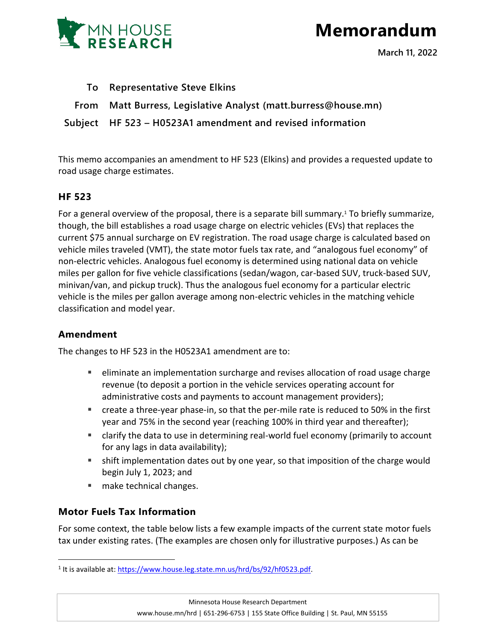

# **Memorandum**

**March 11, 2022**

**To Representative Steve Elkins**

**From Matt Burress, Legislative Analyst (matt.burress@house.mn)**

**Subject HF 523 – H0523A1 amendment and revised information**

This memo accompanies an amendment to HF 523 (Elkins) and provides a requested update to road usage charge estimates.

## **HF 523**

For a general overview of the proposal, there is a separate bill summary.<sup>1</sup> To briefly summarize, though, the bill establishes a road usage charge on electric vehicles (EVs) that replaces the current \$75 annual surcharge on EV registration. The road usage charge is calculated based on vehicle miles traveled (VMT), the state motor fuels tax rate, and "analogous fuel economy" of non-electric vehicles. Analogous fuel economy is determined using national data on vehicle miles per gallon for five vehicle classifications (sedan/wagon, car-based SUV, truck-based SUV, minivan/van, and pickup truck). Thus the analogous fuel economy for a particular electric vehicle is the miles per gallon average among non-electric vehicles in the matching vehicle classification and model year.

# **Amendment**

 $\overline{a}$ 

The changes to HF 523 in the H0523A1 amendment are to:

- eliminate an implementation surcharge and revises allocation of road usage charge revenue (to deposit a portion in the vehicle services operating account for administrative costs and payments to account management providers);
- create a three-year phase-in, so that the per-mile rate is reduced to 50% in the first year and 75% in the second year (reaching 100% in third year and thereafter);
- clarify the data to use in determining real-world fuel economy (primarily to account for any lags in data availability);
- shift implementation dates out by one year, so that imposition of the charge would begin July 1, 2023; and
- **nake technical changes.**

# **Motor Fuels Tax Information**

For some context, the table below lists a few example impacts of the current state motor fuels tax under existing rates. (The examples are chosen only for illustrative purposes.) As can be

<sup>&</sup>lt;sup>1</sup> It is available at[: https://www.house.leg.state.mn.us/hrd/bs/92/hf0523.pdf.](https://www.house.leg.state.mn.us/hrd/bs/92/hf0523.pdf)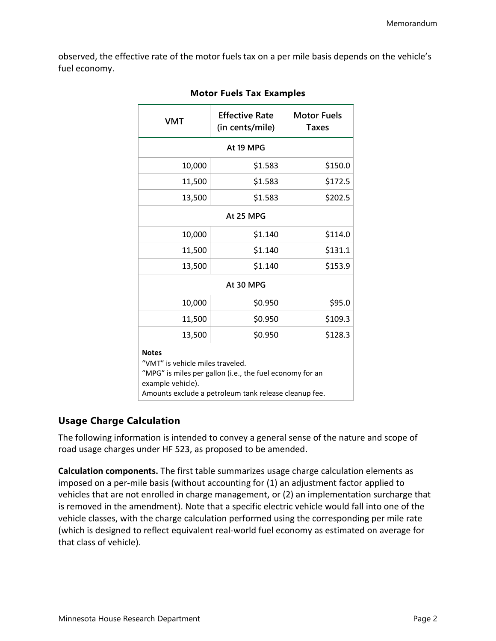observed, the effective rate of the motor fuels tax on a per mile basis depends on the vehicle's fuel economy.

| <b>VMT</b>                                                                                                                                                                                 | <b>Effective Rate</b><br>(in cents/mile) | <b>Motor Fuels</b><br><b>Taxes</b> |  |  |
|--------------------------------------------------------------------------------------------------------------------------------------------------------------------------------------------|------------------------------------------|------------------------------------|--|--|
| At 19 MPG                                                                                                                                                                                  |                                          |                                    |  |  |
| 10,000                                                                                                                                                                                     | \$1.583                                  | \$150.0                            |  |  |
| 11,500                                                                                                                                                                                     | \$1.583                                  | \$172.5                            |  |  |
| 13,500                                                                                                                                                                                     | \$1.583                                  | \$202.5                            |  |  |
| At 25 MPG                                                                                                                                                                                  |                                          |                                    |  |  |
| 10,000                                                                                                                                                                                     | \$1.140                                  | \$114.0                            |  |  |
| 11,500                                                                                                                                                                                     | \$1.140                                  | \$131.1                            |  |  |
| 13,500                                                                                                                                                                                     | \$1.140                                  | \$153.9                            |  |  |
| At 30 MPG                                                                                                                                                                                  |                                          |                                    |  |  |
| 10,000                                                                                                                                                                                     | \$0.950                                  | \$95.0                             |  |  |
| 11,500                                                                                                                                                                                     | \$0.950                                  | \$109.3                            |  |  |
| 13,500                                                                                                                                                                                     | \$0.950                                  | \$128.3                            |  |  |
| <b>Notes</b><br>"VMT" is vehicle miles traveled.<br>"MPG" is miles per gallon (i.e., the fuel economy for an<br>example vehicle).<br>Amounts exclude a petroleum tank release cleanup fee. |                                          |                                    |  |  |

#### **Motor Fuels Tax Examples**

## **Usage Charge Calculation**

The following information is intended to convey a general sense of the nature and scope of road usage charges under HF 523, as proposed to be amended.

**Calculation components.** The first table summarizes usage charge calculation elements as imposed on a per-mile basis (without accounting for (1) an adjustment factor applied to vehicles that are not enrolled in charge management, or (2) an implementation surcharge that is removed in the amendment). Note that a specific electric vehicle would fall into one of the vehicle classes, with the charge calculation performed using the corresponding per mile rate (which is designed to reflect equivalent real-world fuel economy as estimated on average for that class of vehicle).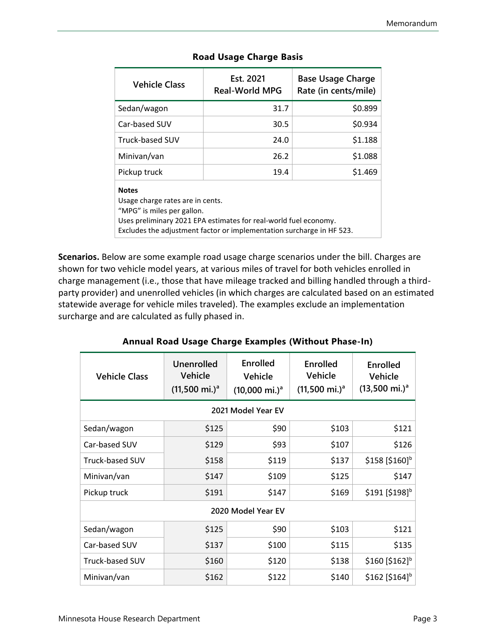| <b>Vehicle Class</b>   | Est. 2021<br><b>Real-World MPG</b> | <b>Base Usage Charge</b><br>Rate (in cents/mile) |
|------------------------|------------------------------------|--------------------------------------------------|
| Sedan/wagon            | 31.7                               | \$0.899                                          |
| Car-based SUV          | 30.5                               | \$0.934                                          |
| <b>Truck-based SUV</b> | 24.0                               | \$1.188                                          |
| Minivan/van            | 26.2                               | \$1.088                                          |
| Pickup truck           | 19.4                               | \$1.469                                          |
| <b>Notes</b>           |                                    |                                                  |

#### **Road Usage Charge Basis**

Usage charge rates are in cents. "MPG" is miles per gallon. Uses preliminary 2021 EPA estimates for real-world fuel economy. Excludes the adjustment factor or implementation surcharge in HF 523.

**Scenarios.** Below are some example road usage charge scenarios under the bill. Charges are shown for two vehicle model years, at various miles of travel for both vehicles enrolled in charge management (i.e., those that have mileage tracked and billing handled through a thirdparty provider) and unenrolled vehicles (in which charges are calculated based on an estimated statewide average for vehicle miles traveled). The examples exclude an implementation surcharge and are calculated as fully phased in.

| <b>Vehicle Class</b>   | <b>Unenrolled</b><br><b>Vehicle</b><br>$(11,500 \text{ mi.})^{\text{a}}$ | <b>Enrolled</b><br>Vehicle<br>$(10,000 \text{ mi.})^a$ | <b>Enrolled</b><br><b>Vehicle</b><br>$(11,500 \text{ mi.})^a$ | <b>Enrolled</b><br>Vehicle<br>$(13,500 \text{ mi.})^a$ |
|------------------------|--------------------------------------------------------------------------|--------------------------------------------------------|---------------------------------------------------------------|--------------------------------------------------------|
| 2021 Model Year EV     |                                                                          |                                                        |                                                               |                                                        |
| Sedan/wagon            | \$125                                                                    | \$90                                                   | \$103                                                         | \$121                                                  |
| Car-based SUV          | \$129                                                                    | \$93                                                   | \$107                                                         | \$126                                                  |
| <b>Truck-based SUV</b> | \$158                                                                    | \$119                                                  | \$137                                                         | \$158 [\$160] <sup>b</sup>                             |
| Minivan/van            | \$147                                                                    | \$109                                                  | \$125                                                         | \$147                                                  |
| Pickup truck           | \$191                                                                    | \$147                                                  | \$169                                                         | \$191 [\$198] <sup>b</sup>                             |
| 2020 Model Year EV     |                                                                          |                                                        |                                                               |                                                        |
| Sedan/wagon            | \$125                                                                    | \$90                                                   | \$103                                                         | \$121                                                  |
| Car-based SUV          | \$137                                                                    | \$100                                                  | \$115                                                         | \$135                                                  |
| <b>Truck-based SUV</b> | \$160                                                                    | \$120                                                  | \$138                                                         | \$160 [\$162] <sup>b</sup>                             |
| Minivan/van            | \$162                                                                    | \$122                                                  | \$140                                                         | \$162 [\$164] <sup>b</sup>                             |

## **Annual Road Usage Charge Examples (Without Phase-In)**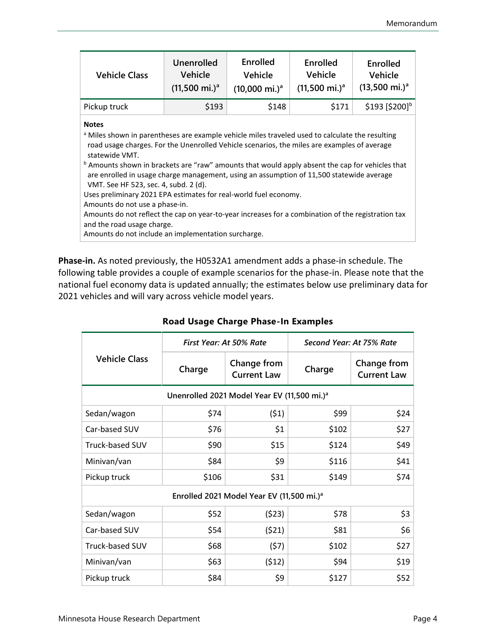| <b>Vehicle Class</b>                                                                                                                                                                                                                                                                                                                                                                                                                                                                                                                                                                                                                                                                                                                                                                            | <b>Unenrolled</b><br><b>Vehicle</b><br>$(11,500 \text{ mi.})^a$ | <b>Enrolled</b><br><b>Vehicle</b><br>$(10,000 \text{ mi.})^a$ | <b>Enrolled</b><br><b>Vehicle</b><br>$(11,500 \text{ mi.})^a$ | Enrolled<br>Vehicle<br>$(13,500 \text{ mi.})^a$ |
|-------------------------------------------------------------------------------------------------------------------------------------------------------------------------------------------------------------------------------------------------------------------------------------------------------------------------------------------------------------------------------------------------------------------------------------------------------------------------------------------------------------------------------------------------------------------------------------------------------------------------------------------------------------------------------------------------------------------------------------------------------------------------------------------------|-----------------------------------------------------------------|---------------------------------------------------------------|---------------------------------------------------------------|-------------------------------------------------|
| Pickup truck                                                                                                                                                                                                                                                                                                                                                                                                                                                                                                                                                                                                                                                                                                                                                                                    | \$193                                                           | \$148                                                         | \$171                                                         | \$193 [\$200] <sup>b</sup>                      |
| <b>Notes</b><br><sup>a</sup> Miles shown in parentheses are example vehicle miles traveled used to calculate the resulting<br>road usage charges. For the Unenrolled Vehicle scenarios, the miles are examples of average<br>statewide VMT.<br><sup>b</sup> Amounts shown in brackets are "raw" amounts that would apply absent the cap for vehicles that<br>are enrolled in usage charge management, using an assumption of 11,500 statewide average<br>VMT. See HF 523, sec. 4, subd. 2 (d).<br>Uses preliminary 2021 EPA estimates for real-world fuel economy.<br>Amounts do not use a phase-in.<br>Amounts do not reflect the cap on year-to-year increases for a combination of the registration tax<br>and the road usage charge.<br>Amounts do not include an implementation surcharge. |                                                                 |                                                               |                                                               |                                                 |

**Phase-in.** As noted previously, the H0532A1 amendment adds a phase-in schedule. The following table provides a couple of example scenarios for the phase-in. Please note that the national fuel economy data is updated annually; the estimates below use preliminary data for 2021 vehicles and will vary across vehicle model years.

| <b>Vehicle Class</b>                                    | First Year: At 50% Rate |                                   | Second Year: At 75% Rate |                                          |
|---------------------------------------------------------|-------------------------|-----------------------------------|--------------------------|------------------------------------------|
|                                                         | Charge                  | Change from<br><b>Current Law</b> | Charge                   | <b>Change from</b><br><b>Current Law</b> |
| Unenrolled 2021 Model Year EV (11,500 mi.) <sup>a</sup> |                         |                                   |                          |                                          |
| Sedan/wagon                                             | \$74                    | (51)                              | \$99                     | \$24                                     |
| Car-based SUV                                           | \$76                    | \$1                               | \$102                    | \$27                                     |
| Truck-based SUV                                         | \$90                    | \$15                              | \$124                    | \$49                                     |
| Minivan/van                                             | \$84                    | \$9                               | \$116                    | \$41                                     |
| Pickup truck                                            | \$106                   | \$31                              | \$149                    | \$74                                     |
| Enrolled 2021 Model Year EV (11,500 mi.) <sup>a</sup>   |                         |                                   |                          |                                          |
| Sedan/wagon                                             | \$52                    | (523)                             | \$78                     | \$3                                      |
| Car-based SUV                                           | \$54                    | (521)                             | \$81                     | \$6                                      |
| Truck-based SUV                                         | \$68                    | (57)                              | \$102                    | \$27                                     |
| Minivan/van                                             | \$63                    | (512)                             | \$94                     | \$19                                     |
| Pickup truck                                            | \$84                    | \$9                               | \$127                    | \$52                                     |

## **Road Usage Charge Phase-In Examples**